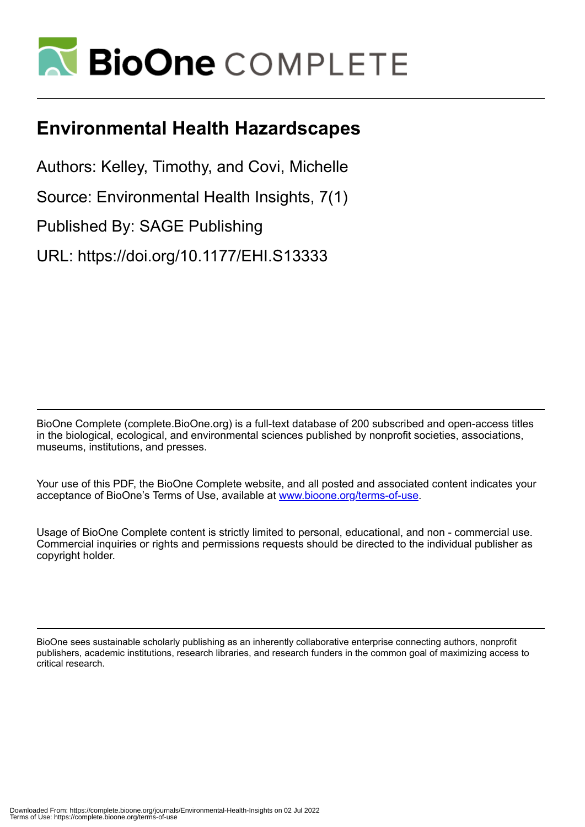

# **Environmental Health Hazardscapes**

Authors: Kelley, Timothy, and Covi, Michelle

Source: Environmental Health Insights, 7(1)

Published By: SAGE Publishing

URL: https://doi.org/10.1177/EHI.S13333

BioOne Complete (complete.BioOne.org) is a full-text database of 200 subscribed and open-access titles in the biological, ecological, and environmental sciences published by nonprofit societies, associations, museums, institutions, and presses.

Your use of this PDF, the BioOne Complete website, and all posted and associated content indicates your acceptance of BioOne's Terms of Use, available at www.bioone.org/terms-of-use.

Usage of BioOne Complete content is strictly limited to personal, educational, and non - commercial use. Commercial inquiries or rights and permissions requests should be directed to the individual publisher as copyright holder.

BioOne sees sustainable scholarly publishing as an inherently collaborative enterprise connecting authors, nonprofit publishers, academic institutions, research libraries, and research funders in the common goal of maximizing access to critical research.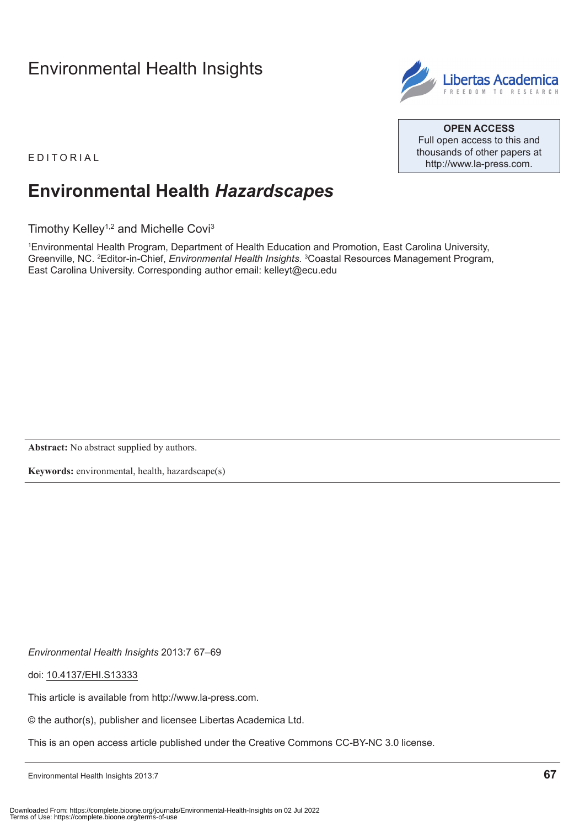# [Environmental Health Insights](http://www.la-press.com/environmental-health-insights-journal-j110)



**Open Access** Full open access to this and thousands of other papers at <http://www.la-press.com>.

E d it o r ial

# **Environmental Health** *Hazardscapes*

Timothy Kelley<sup>1,2</sup> and Michelle Covi<sup>3</sup>

1 Environmental Health Program, Department of Health Education and Promotion, East Carolina University, Greenville, NC. <sup>2</sup>Editor-in-Chief, *Environmental Health Insights.* <sup>3</sup>Coastal Resources Management Program, East Carolina University. Corresponding author email: [kelleyt@ecu.edu](mailto:kelleyt@ecu.edu)

**Abstract:** No abstract supplied by authors.

**Keywords:** environmental, health, hazardscape(s)

*Environmental Health Insights* 2013:7 67–69

doi: [10.4137/EHI.S13333](http://dx.doi.org/10.4137/EHI.S13333)

This article is available from [http://www.la-press.com.](http://www.la-press.com)

© the author(s), publisher and licensee Libertas Academica Ltd.

This is an open access article published under the Creative Commons CC-BY-NC 3.0 license.

Environmental Health Insights 2013:7 **67**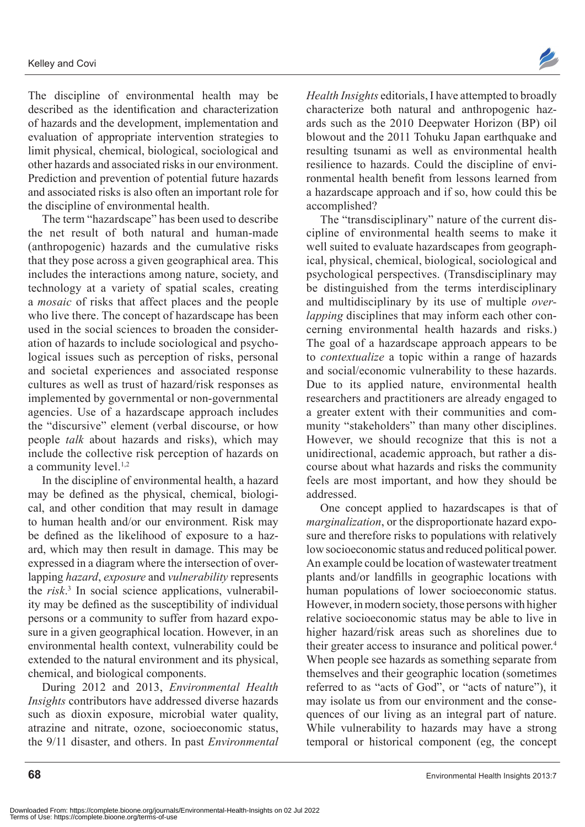The discipline of environmental health may be described as the identification and characterization of hazards and the development, implementation and evaluation of appropriate intervention strategies to limit physical, chemical, biological, sociological and other hazards and associated risks in our environment. Prediction and prevention of potential future hazards and associated risks is also often an important role for the discipline of environmental health.

The term "hazardscape" has been used to describe the net result of both natural and human-made (anthropogenic) hazards and the cumulative risks that they pose across a given geographical area. This includes the interactions among nature, society, and technology at a variety of spatial scales, creating a *mosaic* of risks that affect places and the people who live there. The concept of hazardscape has been used in the social sciences to broaden the consideration of hazards to include sociological and psychological issues such as perception of risks, personal and societal experiences and associated response cultures as well as trust of hazard/risk responses as implemented by governmental or non-governmental agencies. Use of a hazardscape approach includes the "discursive" element (verbal discourse, or how people *talk* about hazards and risks), which may include the collective risk perception of hazards on a community level.<sup>1,2</sup>

In the discipline of environmental health, a hazard may be defined as the physical, chemical, biological, and other condition that may result in damage to human health and/or our environment. Risk may be defined as the likelihood of exposure to a hazard, which may then result in damage. This may be expressed in a diagram where the intersection of overlapping *hazard*, *exposure* and *vulnerability* represents the *risk*. 3 In social science applications, vulnerability may be defined as the susceptibility of individual persons or a community to suffer from hazard exposure in a given geographical location. However, in an environmental health context, vulnerability could be extended to the natural environment and its physical, chemical, and biological components.

During 2012 and 2013, *Environmental Health Insights* contributors have addressed diverse hazards such as dioxin exposure, microbial water quality, atrazine and nitrate, ozone, socioeconomic status, the 9/11 disaster, and others. In past *Environmental* 



The "transdisciplinary" nature of the current discipline of environmental health seems to make it well suited to evaluate hazardscapes from geographical, physical, chemical, biological, sociological and psychological perspectives. (Transdisciplinary may be distinguished from the terms interdisciplinary and multidisciplinary by its use of multiple *overlapping* disciplines that may inform each other concerning environmental health hazards and risks.) The goal of a hazardscape approach appears to be to *contextualize* a topic within a range of hazards and social/economic vulnerability to these hazards. Due to its applied nature, environmental health researchers and practitioners are already engaged to a greater extent with their communities and community "stakeholders" than many other disciplines. However, we should recognize that this is not a unidirectional, academic approach, but rather a discourse about what hazards and risks the community feels are most important, and how they should be addressed.

One concept applied to hazardscapes is that of *marginalization*, or the disproportionate hazard exposure and therefore risks to populations with relatively low socioeconomic status and reduced political power. An example could be location of wastewater treatment plants and/or landfills in geographic locations with human populations of lower socioeconomic status. However, in modern society, those persons with higher relative socioeconomic status may be able to live in higher hazard/risk areas such as shorelines due to their greater access to insurance and political power.<sup>4</sup> When people see hazards as something separate from themselves and their geographic location (sometimes referred to as "acts of God", or "acts of nature"), it may isolate us from our environment and the consequences of our living as an integral part of nature. While vulnerability to hazards may have a strong temporal or historical component (eg, the concept